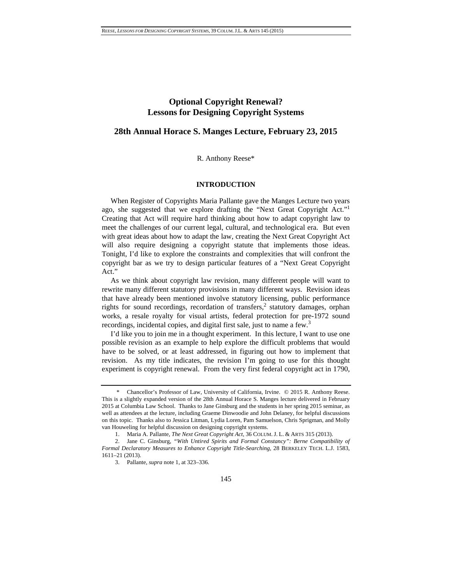# **Optional Copyright Renewal? Lessons for Designing Copyright Systems**

# **28th Annual Horace S. Manges Lecture, February 23, 2015**

# R. Anthony Reese\*

# **INTRODUCTION**

When Register of Copyrights Maria Pallante gave the Manges Lecture two years ago, she suggested that we explore drafting the "Next Great Copyright Act." Creating that Act will require hard thinking about how to adapt copyright law to meet the challenges of our current legal, cultural, and technological era. But even with great ideas about how to adapt the law, creating the Next Great Copyright Act will also require designing a copyright statute that implements those ideas. Tonight, I'd like to explore the constraints and complexities that will confront the copyright bar as we try to design particular features of a "Next Great Copyright Act."

As we think about copyright law revision, many different people will want to rewrite many different statutory provisions in many different ways. Revision ideas that have already been mentioned involve statutory licensing, public performance rights for sound recordings, recordation of transfers,<sup>2</sup> statutory damages, orphan works, a resale royalty for visual artists, federal protection for pre-1972 sound recordings, incidental copies, and digital first sale, just to name a few.<sup>3</sup>

I'd like you to join me in a thought experiment. In this lecture, I want to use one possible revision as an example to help explore the difficult problems that would have to be solved, or at least addressed, in figuring out how to implement that revision. As my title indicates, the revision I'm going to use for this thought experiment is copyright renewal. From the very first federal copyright act in 1790,

 <sup>\*</sup> Chancellor's Professor of Law, University of California, Irvine. © 2015 R. Anthony Reese. This is a slightly expanded version of the 28th Annual Horace S. Manges lecture delivered in February 2015 at Columbia Law School. Thanks to Jane Ginsburg and the students in her spring 2015 seminar, as well as attendees at the lecture, including Graeme Dinwoodie and John Delaney, for helpful discussions on this topic. Thanks also to Jessica Litman, Lydia Loren, Pam Samuelson, Chris Sprigman, and Molly van Houweling for helpful discussion on designing copyright systems.

 <sup>1.</sup> Maria A. Pallante, *The Next Great Copyright Act*, 36 COLUM. J. L. & ARTS 315 (2013).

 <sup>2.</sup> Jane C. Ginsburg, *"With Untired Spirits and Formal Constancy": Berne Compatibility of Formal Declaratory Measures to Enhance Copyright Title-Searching*, 28 BERKELEY TECH. L.J. 1583, 1611–21 (2013).

 <sup>3.</sup> Pallante, *supra* note 1, at 323–336.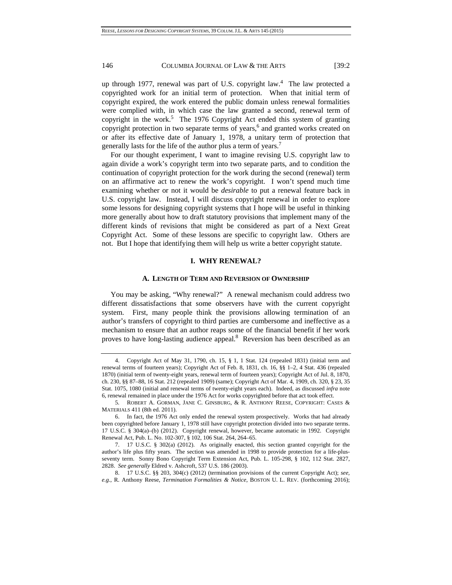up through 1977, renewal was part of U.S. copyright law.4 The law protected a copyrighted work for an initial term of protection. When that initial term of copyright expired, the work entered the public domain unless renewal formalities were complied with, in which case the law granted a second, renewal term of copyright in the work.<sup>5</sup> The 1976 Copyright Act ended this system of granting copyright protection in two separate terms of years,<sup>6</sup> and granted works created on or after its effective date of January 1, 1978, a unitary term of protection that generally lasts for the life of the author plus a term of years.7

For our thought experiment, I want to imagine revising U.S. copyright law to again divide a work's copyright term into two separate parts, and to condition the continuation of copyright protection for the work during the second (renewal) term on an affirmative act to renew the work's copyright. I won't spend much time examining whether or not it would be *desirable* to put a renewal feature back in U.S. copyright law. Instead, I will discuss copyright renewal in order to explore some lessons for designing copyright systems that I hope will be useful in thinking more generally about how to draft statutory provisions that implement many of the different kinds of revisions that might be considered as part of a Next Great Copyright Act. Some of these lessons are specific to copyright law. Others are not. But I hope that identifying them will help us write a better copyright statute.

#### **I. WHY RENEWAL?**

#### **A. LENGTH OF TERM AND REVERSION OF OWNERSHIP**

You may be asking, "Why renewal?" A renewal mechanism could address two different dissatisfactions that some observers have with the current copyright system. First, many people think the provisions allowing termination of an author's transfers of copyright to third parties are cumbersome and ineffective as a mechanism to ensure that an author reaps some of the financial benefit if her work proves to have long-lasting audience appeal.<sup>8</sup> Reversion has been described as an

 <sup>4.</sup> Copyright Act of May 31, 1790, ch. 15, § 1, 1 Stat. 124 (repealed 1831) (initial term and renewal terms of fourteen years); Copyright Act of Feb. 8, 1831, ch. 16, §§ 1–2, 4 Stat. 436 (repealed 1870) (initial term of twenty-eight years, renewal term of fourteen years); Copyright Act of Jul. 8, 1870, ch. 230, §§ 87–88, 16 Stat. 212 (repealed 1909) (same); Copyright Act of Mar. 4, 1909, ch. 320, § 23, 35 Stat. 1075, 1080 (initial and renewal terms of twenty-eight years each). Indeed, as discussed *infra* note 6, renewal remained in place under the 1976 Act for works copyrighted before that act took effect.

<sup>5</sup>*.* ROBERT A. GORMAN, JANE C. GINSBURG, & R. ANTHONY REESE, COPYRIGHT: CASES & MATERIALS 411 (8th ed. 2011).

 <sup>6.</sup> In fact, the 1976 Act only ended the renewal system prospectively. Works that had already been copyrighted before January 1, 1978 still have copyright protection divided into two separate terms. 17 U.S.C. § 304(a)–(b) (2012). Copyright renewal, however, became automatic in 1992. Copyright Renewal Act, Pub. L. No. 102-307, § 102, 106 Stat. 264, 264–65.

 <sup>7. 17</sup> U.S.C. § 302(a) (2012). As originally enacted, this section granted copyright for the author's life plus fifty years. The section was amended in 1998 to provide protection for a life-plusseventy term. Sonny Bono Copyright Term Extension Act, Pub. L. 105-298, § 102, 112 Stat. 2827, 2828. *See generally* Eldred v. Ashcroft, 537 U.S. 186 (2003).

 <sup>8. 17</sup> U.S.C. §§ 203, 304(c) (2012) (termination provisions of the current Copyright Act); *see, e.g.*, R. Anthony Reese, *Termination Formalities & Notice*, BOSTON U. L. REV. (forthcoming 2016);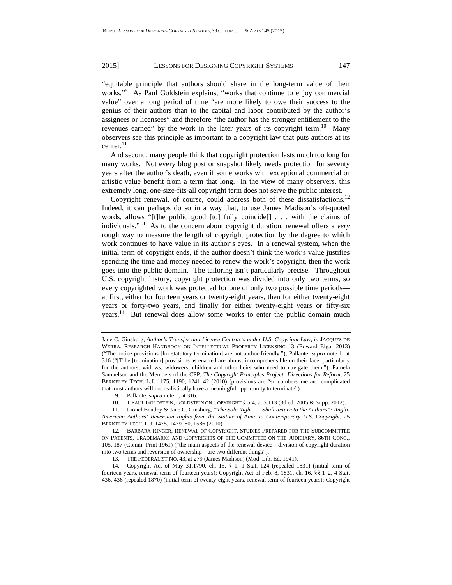"equitable principle that authors should share in the long-term value of their works."9 As Paul Goldstein explains, "works that continue to enjoy commercial value" over a long period of time "are more likely to owe their success to the genius of their authors than to the capital and labor contributed by the author's assignees or licensees" and therefore "the author has the stronger entitlement to the revenues earned" by the work in the later years of its copyright term.<sup>10</sup> Many observers see this principle as important to a copyright law that puts authors at its center.<sup>11</sup>

And second, many people think that copyright protection lasts much too long for many works. Not every blog post or snapshot likely needs protection for seventy years after the author's death, even if some works with exceptional commercial or artistic value benefit from a term that long. In the view of many observers, this extremely long, one-size-fits-all copyright term does not serve the public interest.

Copyright renewal, of course, could address both of these dissatisfactions.<sup>12</sup> Indeed, it can perhaps do so in a way that, to use James Madison's oft-quoted words, allows "[t]he public good [to] fully coincide[] . . . with the claims of individuals."13 As to the concern about copyright duration, renewal offers a *very* rough way to measure the length of copyright protection by the degree to which work continues to have value in its author's eyes. In a renewal system, when the initial term of copyright ends, if the author doesn't think the work's value justifies spending the time and money needed to renew the work's copyright, then the work goes into the public domain. The tailoring isn't particularly precise. Throughout U.S. copyright history, copyright protection was divided into only two terms, so every copyrighted work was protected for one of only two possible time periods at first, either for fourteen years or twenty-eight years, then for either twenty-eight years or forty-two years, and finally for either twenty-eight years or fifty-six years.14 But renewal does allow some works to enter the public domain much

Jane C. Ginsburg, *Author's Transfer and License Contracts under U.S. Copyright Law*, *in* JACQUES DE WERRA, RESEARCH HANDBOOK ON INTELLECTUAL PROPERTY LICENSING 13 (Edward Elgar 2013) ("The notice provisions [for statutory termination] are not author-friendly."); Pallante, *supra* note 1, at 316 ("[T]he [termination] provisions as enacted are almost incomprehensible on their face, particularly for the authors, widows, widowers, children and other heirs who need to navigate them."); Pamela Samuelson and the Members of the CPP, *The Copyright Principles Project: Directions for Reform*, 25 BERKELEY TECH. L.J. 1175, 1190, 1241–42 (2010) (provisions are "so cumbersome and complicated that most authors will not realistically have a meaningful opportunity to terminate").

 <sup>9.</sup> Pallante, *supra* note 1, at 316.

 <sup>10. 1</sup> PAUL GOLDSTEIN, GOLDSTEIN ON COPYRIGHT § 5.4, at 5:113 (3d ed. 2005 & Supp. 2012).

 <sup>11.</sup> Lionel Bentley & Jane C. Ginsburg, *"The Sole Right . . . Shall Return to the Authors": Anglo-American Authors' Reversion Rights from the Statute of Anne to Contemporary U.S. Copyright*, 25 BERKELEY TECH. L.J. 1475, 1479–80, 1586 (2010).

 <sup>12.</sup> BARBARA RINGER, RENEWAL OF COPYRIGHT, STUDIES PREPARED FOR THE SUBCOMMITTEE ON PATENTS, TRADEMARKS AND COPYRIGHTS OF THE COMMITTEE ON THE JUDICIARY, 86TH CONG., 105, 187 (Comm. Print 1961) ("the main aspects of the renewal device—division of copyright duration into two terms and reversion of ownership—are two different things").

 <sup>13.</sup> THE FEDERALIST NO. 43, at 279 (James Madison) (Mod. Lib. Ed. 1941).

 <sup>14.</sup> Copyright Act of May 31,1790, ch. 15, § 1, 1 Stat. 124 (repealed 1831) (initial term of fourteen years, renewal term of fourteen years); Copyright Act of Feb. 8, 1831, ch. 16, §§ 1–2, 4 Stat. 436, 436 (repealed 1870) (initial term of twenty-eight years, renewal term of fourteen years); Copyright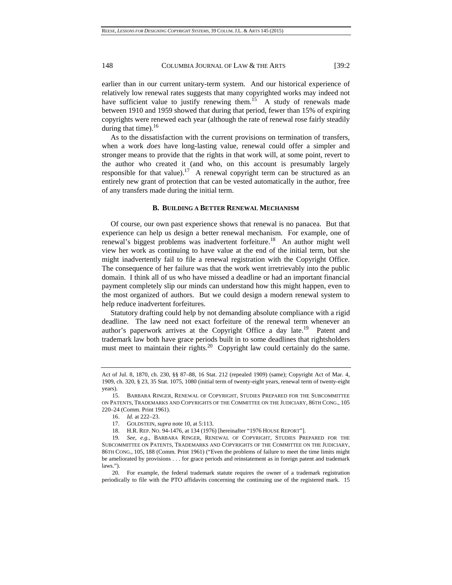earlier than in our current unitary-term system. And our historical experience of relatively low renewal rates suggests that many copyrighted works may indeed not have sufficient value to justify renewing them.<sup>15</sup> A study of renewals made between 1910 and 1959 showed that during that period, fewer than 15% of expiring copyrights were renewed each year (although the rate of renewal rose fairly steadily during that time). $16$ 

As to the dissatisfaction with the current provisions on termination of transfers, when a work *does* have long-lasting value, renewal could offer a simpler and stronger means to provide that the rights in that work will, at some point, revert to the author who created it (and who, on this account is presumably largely responsible for that value).<sup>17</sup> A renewal copyright term can be structured as an entirely new grant of protection that can be vested automatically in the author, free of any transfers made during the initial term.

#### **B. BUILDING A BETTER RENEWAL MECHANISM**

Of course, our own past experience shows that renewal is no panacea. But that experience can help us design a better renewal mechanism. For example, one of renewal's biggest problems was inadvertent forfeiture.<sup>18</sup> An author might well view her work as continuing to have value at the end of the initial term, but she might inadvertently fail to file a renewal registration with the Copyright Office. The consequence of her failure was that the work went irretrievably into the public domain. I think all of us who have missed a deadline or had an important financial payment completely slip our minds can understand how this might happen, even to the most organized of authors. But we could design a modern renewal system to help reduce inadvertent forfeitures.

Statutory drafting could help by not demanding absolute compliance with a rigid deadline. The law need not exact forfeiture of the renewal term whenever an author's paperwork arrives at the Copyright Office a day late.<sup>19</sup> Patent and trademark law both have grace periods built in to some deadlines that rightsholders must meet to maintain their rights.<sup>20</sup> Copyright law could certainly do the same.

Act of Jul. 8, 1870, ch. 230, §§ 87–88, 16 Stat. 212 (repealed 1909) (same); Copyright Act of Mar. 4, 1909, ch. 320, § 23, 35 Stat. 1075, 1080 (initial term of twenty-eight years, renewal term of twenty-eight years).

 <sup>15.</sup> BARBARA RINGER, RENEWAL OF COPYRIGHT, STUDIES PREPARED FOR THE SUBCOMMITTEE ON PATENTS, TRADEMARKS AND COPYRIGHTS OF THE COMMITTEE ON THE JUDICIARY, 86TH CONG., 105 220–24 (Comm. Print 1961).

 <sup>16.</sup> *Id.* at 222–23.

 <sup>17.</sup> GOLDSTEIN, *supra* note 10, at 5:113.

 <sup>18.</sup> H.R. REP. NO. 94-1476, at 134 (1976) [hereinafter "1976 HOUSE REPORT"].

<sup>19</sup>*. See, e.g.*, BARBARA RINGER, RENEWAL OF COPYRIGHT, STUDIES PREPARED FOR THE SUBCOMMITTEE ON PATENTS, TRADEMARKS AND COPYRIGHTS OF THE COMMITTEE ON THE JUDICIARY, 86TH CONG., 105, 188 (Comm. Print 1961) ("Even the problems of failure to meet the time limits might be ameliorated by provisions . . . for grace periods and reinstatement as in foreign patent and trademark laws.").

 <sup>20.</sup> For example, the federal trademark statute requires the owner of a trademark registration periodically to file with the PTO affidavits concerning the continuing use of the registered mark. 15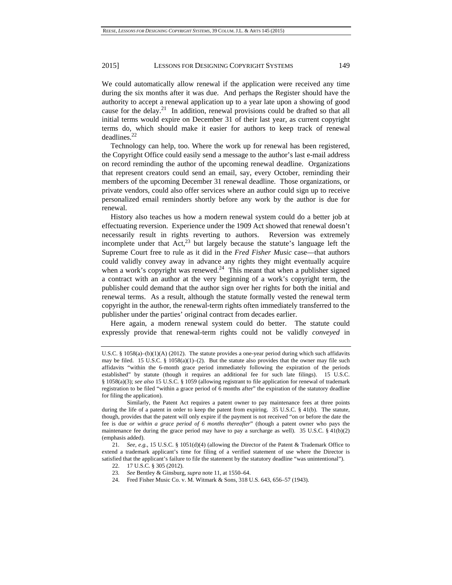We could automatically allow renewal if the application were received any time during the six months after it was due. And perhaps the Register should have the authority to accept a renewal application up to a year late upon a showing of good cause for the delay.<sup>21</sup> In addition, renewal provisions could be drafted so that all initial terms would expire on December 31 of their last year, as current copyright terms do, which should make it easier for authors to keep track of renewal deadlines.22

Technology can help, too. Where the work up for renewal has been registered, the Copyright Office could easily send a message to the author's last e-mail address on record reminding the author of the upcoming renewal deadline. Organizations that represent creators could send an email, say, every October, reminding their members of the upcoming December 31 renewal deadline. Those organizations, or private vendors, could also offer services where an author could sign up to receive personalized email reminders shortly before any work by the author is due for renewal.

History also teaches us how a modern renewal system could do a better job at effectuating reversion. Experience under the 1909 Act showed that renewal doesn't necessarily result in rights reverting to authors. Reversion was extremely incomplete under that  $Act<sub>1</sub><sup>23</sup>$  but largely because the statute's language left the Supreme Court free to rule as it did in the *Fred Fisher Music* case—that authors could validly convey away in advance any rights they might eventually acquire when a work's copyright was renewed.<sup>24</sup> This meant that when a publisher signed a contract with an author at the very beginning of a work's copyright term, the publisher could demand that the author sign over her rights for both the initial and renewal terms. As a result, although the statute formally vested the renewal term copyright in the author, the renewal-term rights often immediately transferred to the publisher under the parties' original contract from decades earlier.

Here again, a modern renewal system could do better. The statute could expressly provide that renewal-term rights could not be validly *conveyed* in

U.S.C. § 1058(a)–(b)(1)(A) (2012). The statute provides a one-year period during which such affidavits may be filed. 15 U.S.C. § 1058(a)(1)–(2). But the statute also provides that the owner may file such affidavits "within the 6-month grace period immediately following the expiration of the periods established" by statute (though it requires an additional fee for such late filings). 15 U.S.C. § 1058(a)(3); *see also* 15 U.S.C. § 1059 (allowing registrant to file application for renewal of trademark registration to be filed "within a grace period of 6 months after" the expiration of the statutory deadline for filing the application).

Similarly, the Patent Act requires a patent owner to pay maintenance fees at three points during the life of a patent in order to keep the patent from expiring. 35 U.S.C. § 41(b). The statute, though, provides that the patent will only expire if the payment is not received "on or before the date the fee is due *or within a grace period of 6 months thereafter*" (though a patent owner who pays the maintenance fee during the grace period may have to pay a surcharge as well). 35 U.S.C.  $\frac{1}{2}$  41(b)(2) (emphasis added).

<sup>21</sup>*. See, e.g.*, 15 U.S.C. § 1051(d)(4) (allowing the Director of the Patent & Trademark Office to extend a trademark applicant's time for filing of a verified statement of use where the Director is satisfied that the applicant's failure to file the statement by the statutory deadline "was unintentional").

 <sup>22. 17</sup> U.S.C. § 305 (2012).

<sup>23</sup>*. See* Bentley & Ginsburg, *supra* note 11, at 1550–64.

 <sup>24.</sup> Fred Fisher Music Co. v. M. Witmark & Sons, 318 U.S. 643, 656–57 (1943).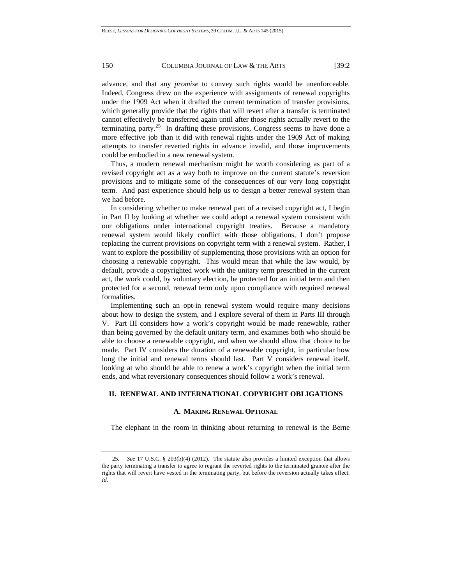advance, and that any *promise* to convey such rights would be unenforceable. Indeed, Congress drew on the experience with assignments of renewal copyrights under the 1909 Act when it drafted the current termination of transfer provisions, which generally provide that the rights that will revert after a transfer is terminated cannot effectively be transferred again until after those rights actually revert to the terminating party.<sup>25</sup> In drafting these provisions, Congress seems to have done a more effective job than it did with renewal rights under the 1909 Act of making attempts to transfer reverted rights in advance invalid, and those improvements could be embodied in a new renewal system.

Thus, a modern renewal mechanism might be worth considering as part of a revised copyright act as a way both to improve on the current statute's reversion provisions and to mitigate some of the consequences of our very long copyright term. And past experience should help us to design a better renewal system than we had before.

In considering whether to make renewal part of a revised copyright act, I begin in Part II by looking at whether we could adopt a renewal system consistent with our obligations under international copyright treaties. Because a mandatory renewal system would likely conflict with those obligations, I don't propose replacing the current provisions on copyright term with a renewal system. Rather, I want to explore the possibility of supplementing those provisions with an option for choosing a renewable copyright. This would mean that while the law would, by default, provide a copyrighted work with the unitary term prescribed in the current act, the work could, by voluntary election, be protected for an initial term and then protected for a second, renewal term only upon compliance with required renewal formalities.

Implementing such an opt-in renewal system would require many decisions about how to design the system, and I explore several of them in Parts III through V. Part III considers how a work's copyright would be made renewable, rather than being governed by the default unitary term, and examines both who should be able to choose a renewable copyright, and when we should allow that choice to be made. Part IV considers the duration of a renewable copyright, in particular how long the initial and renewal terms should last. Part V considers renewal itself, looking at who should be able to renew a work's copyright when the initial term ends, and what reversionary consequences should follow a work's renewal.

# **II. RENEWAL AND INTERNATIONAL COPYRIGHT OBLIGATIONS**

## **A. MAKING RENEWAL OPTIONAL**

The elephant in the room in thinking about returning to renewal is the Berne

<sup>25</sup>*. See* 17 U.S.C. § 203(b)(4) (2012). The statute also provides a limited exception that allows the party terminating a transfer to agree to regrant the reverted rights to the terminated grantee after the rights that will revert have vested in the terminating party, but before the reversion actually takes effect. *Id.*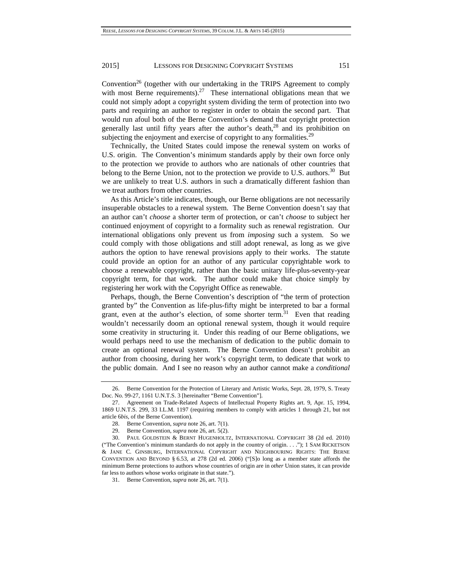Convention<sup>26</sup> (together with our undertaking in the TRIPS Agreement to comply with most Berne requirements).<sup>27</sup> These international obligations mean that we could not simply adopt a copyright system dividing the term of protection into two parts and requiring an author to register in order to obtain the second part. That would run afoul both of the Berne Convention's demand that copyright protection generally last until fifty years after the author's death,  $28$  and its prohibition on subjecting the enjoyment and exercise of copyright to any formalities.<sup>29</sup>

Technically, the United States could impose the renewal system on works of U.S. origin. The Convention's minimum standards apply by their own force only to the protection we provide to authors who are nationals of other countries that belong to the Berne Union, not to the protection we provide to U.S. authors.<sup>30</sup> But we are unlikely to treat U.S. authors in such a dramatically different fashion than we treat authors from other countries.

As this Article's title indicates, though, our Berne obligations are not necessarily insuperable obstacles to a renewal system. The Berne Convention doesn't say that an author can't *choose* a shorter term of protection, or can't *choose* to subject her continued enjoyment of copyright to a formality such as renewal registration. Our international obligations only prevent us from *imposing* such a system. So we could comply with those obligations and still adopt renewal, as long as we give authors the option to have renewal provisions apply to their works. The statute could provide an option for an author of any particular copyrightable work to choose a renewable copyright, rather than the basic unitary life-plus-seventy-year copyright term, for that work. The author could make that choice simply by registering her work with the Copyright Office as renewable.

Perhaps, though, the Berne Convention's description of "the term of protection granted by" the Convention as life-plus-fifty might be interpreted to bar a formal grant, even at the author's election, of some shorter term.<sup>31</sup> Even that reading wouldn't necessarily doom an optional renewal system, though it would require some creativity in structuring it. Under this reading of our Berne obligations, we would perhaps need to use the mechanism of dedication to the public domain to create an optional renewal system. The Berne Convention doesn't prohibit an author from choosing, during her work's copyright term, to dedicate that work to the public domain. And I see no reason why an author cannot make a *conditional*

 <sup>26.</sup> Berne Convention for the Protection of Literary and Artistic Works, Sept. 28, 1979, S. Treaty Doc. No. 99-27, 1161 U.N.T.S. 3 [hereinafter "Berne Convention"].

 <sup>27.</sup> Agreement on Trade-Related Aspects of Intellectual Property Rights art. 9, Apr. 15, 1994, 1869 U.N.T.S. 299, 33 I.L.M. 1197 (requiring members to comply with articles 1 through 21, but not article 6*bis*, of the Berne Convention).

 <sup>28.</sup> Berne Convention, *supra* note 26, art. 7(1).

 <sup>29.</sup> Berne Convention, *supra* note 26, art. 5(2).

 <sup>30.</sup> PAUL GOLDSTEIN & BERNT HUGENHOLTZ, INTERNATIONAL COPYRIGHT 38 (2d ed. 2010) ("The Convention's minimum standards do not apply in the country of origin. . . ."); 1 SAM RICKETSON & JANE C. GINSBURG, INTERNATIONAL COPYRIGHT AND NEIGHBOURING RIGHTS: THE BERNE CONVENTION AND BEYOND § 6.53, at 278 (2d ed. 2006) ("[S]o long as a member state affords the minimum Berne protections to authors whose countries of origin are in *other* Union states, it can provide far less to authors whose works originate in that state.").

 <sup>31.</sup> Berne Convention, *supra* note 26, art. 7(1).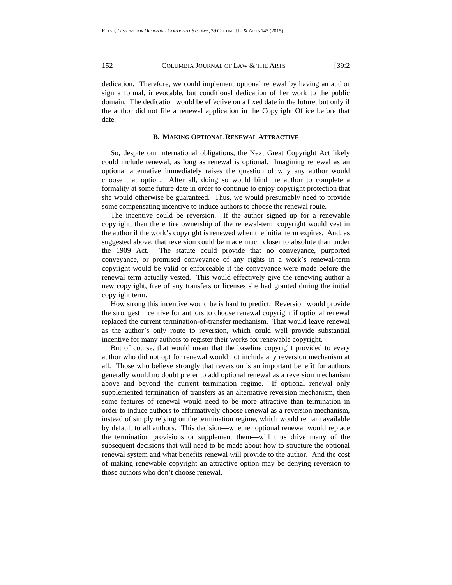dedication. Therefore, we could implement optional renewal by having an author sign a formal, irrevocable, but conditional dedication of her work to the public domain. The dedication would be effective on a fixed date in the future, but only if the author did not file a renewal application in the Copyright Office before that date.

### **B. MAKING OPTIONAL RENEWAL ATTRACTIVE**

So, despite our international obligations, the Next Great Copyright Act likely could include renewal, as long as renewal is optional. Imagining renewal as an optional alternative immediately raises the question of why any author would choose that option. After all, doing so would bind the author to complete a formality at some future date in order to continue to enjoy copyright protection that she would otherwise be guaranteed. Thus, we would presumably need to provide some compensating incentive to induce authors to choose the renewal route.

The incentive could be reversion. If the author signed up for a renewable copyright, then the entire ownership of the renewal-term copyright would vest in the author if the work's copyright is renewed when the initial term expires. And, as suggested above, that reversion could be made much closer to absolute than under the 1909 Act. The statute could provide that no conveyance, purported conveyance, or promised conveyance of any rights in a work's renewal-term copyright would be valid or enforceable if the conveyance were made before the renewal term actually vested. This would effectively give the renewing author a new copyright, free of any transfers or licenses she had granted during the initial copyright term.

How strong this incentive would be is hard to predict. Reversion would provide the strongest incentive for authors to choose renewal copyright if optional renewal replaced the current termination-of-transfer mechanism. That would leave renewal as the author's only route to reversion, which could well provide substantial incentive for many authors to register their works for renewable copyright.

But of course, that would mean that the baseline copyright provided to every author who did not opt for renewal would not include any reversion mechanism at all. Those who believe strongly that reversion is an important benefit for authors generally would no doubt prefer to add optional renewal as a reversion mechanism above and beyond the current termination regime. If optional renewal only supplemented termination of transfers as an alternative reversion mechanism, then some features of renewal would need to be more attractive than termination in order to induce authors to affirmatively choose renewal as a reversion mechanism, instead of simply relying on the termination regime, which would remain available by default to all authors. This decision—whether optional renewal would replace the termination provisions or supplement them—will thus drive many of the subsequent decisions that will need to be made about how to structure the optional renewal system and what benefits renewal will provide to the author. And the cost of making renewable copyright an attractive option may be denying reversion to those authors who don't choose renewal.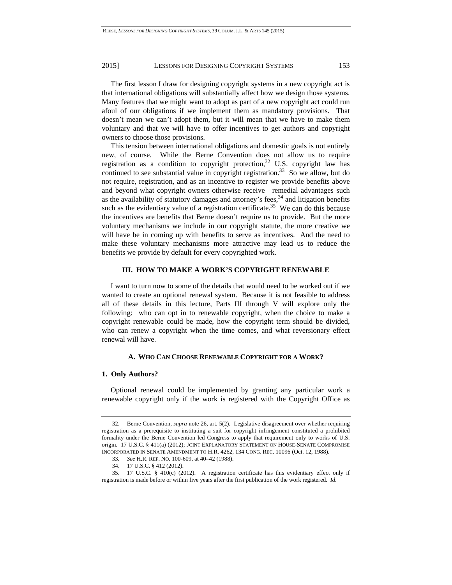The first lesson I draw for designing copyright systems in a new copyright act is that international obligations will substantially affect how we design those systems. Many features that we might want to adopt as part of a new copyright act could run afoul of our obligations if we implement them as mandatory provisions. That doesn't mean we can't adopt them, but it will mean that we have to make them voluntary and that we will have to offer incentives to get authors and copyright owners to choose those provisions.

This tension between international obligations and domestic goals is not entirely new, of course. While the Berne Convention does not allow us to require registration as a condition to copyright protection,<sup>32</sup> U.S. copyright law has continued to see substantial value in copyright registration.<sup>33</sup> So we allow, but do not require, registration, and as an incentive to register we provide benefits above and beyond what copyright owners otherwise receive—remedial advantages such as the availability of statutory damages and attorney's fees, $34$  and litigation benefits such as the evidentiary value of a registration certificate.<sup>35</sup> We can do this because the incentives are benefits that Berne doesn't require us to provide. But the more voluntary mechanisms we include in our copyright statute, the more creative we will have be in coming up with benefits to serve as incentives. And the need to make these voluntary mechanisms more attractive may lead us to reduce the benefits we provide by default for every copyrighted work.

#### **III. HOW TO MAKE A WORK'S COPYRIGHT RENEWABLE**

I want to turn now to some of the details that would need to be worked out if we wanted to create an optional renewal system. Because it is not feasible to address all of these details in this lecture, Parts III through V will explore only the following: who can opt in to renewable copyright, when the choice to make a copyright renewable could be made, how the copyright term should be divided, who can renew a copyright when the time comes, and what reversionary effect renewal will have.

## **A. WHO CAN CHOOSE RENEWABLE COPYRIGHT FOR A WORK?**

## **1. Only Authors?**

Optional renewal could be implemented by granting any particular work a renewable copyright only if the work is registered with the Copyright Office as

 <sup>32.</sup> Berne Convention, *supra* note 26, art. 5(2). Legislative disagreement over whether requiring registration as a prerequisite to instituting a suit for copyright infringement constituted a prohibited formality under the Berne Convention led Congress to apply that requirement only to works of U.S. origin. 17 U.S.C. § 411(a) (2012); JOINT EXPLANATORY STATEMENT ON HOUSE-SENATE COMPROMISE INCORPORATED IN SENATE AMENDMENT TO H.R. 4262, 134 CONG. REC. 10096 (Oct. 12, 1988).

<sup>33</sup>*. See* H.R. REP. NO. 100-609, at 40–42 (1988).

 <sup>34. 17</sup> U.S.C. § 412 (2012).

 <sup>35. 17</sup> U.S.C. § 410(c) (2012). A registration certificate has this evidentiary effect only if registration is made before or within five years after the first publication of the work registered. *Id.*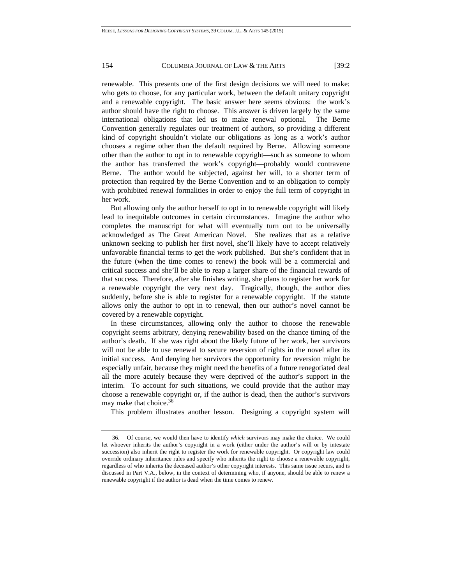renewable. This presents one of the first design decisions we will need to make: who gets to choose, for any particular work, between the default unitary copyright and a renewable copyright. The basic answer here seems obvious: the work's author should have the right to choose. This answer is driven largely by the same international obligations that led us to make renewal optional. The Berne Convention generally regulates our treatment of authors, so providing a different kind of copyright shouldn't violate our obligations as long as a work's author chooses a regime other than the default required by Berne. Allowing someone other than the author to opt in to renewable copyright—such as someone to whom the author has transferred the work's copyright—probably would contravene Berne. The author would be subjected, against her will, to a shorter term of protection than required by the Berne Convention and to an obligation to comply with prohibited renewal formalities in order to enjoy the full term of copyright in her work.

But allowing only the author herself to opt in to renewable copyright will likely lead to inequitable outcomes in certain circumstances. Imagine the author who completes the manuscript for what will eventually turn out to be universally acknowledged as The Great American Novel. She realizes that as a relative unknown seeking to publish her first novel, she'll likely have to accept relatively unfavorable financial terms to get the work published. But she's confident that in the future (when the time comes to renew) the book will be a commercial and critical success and she'll be able to reap a larger share of the financial rewards of that success. Therefore, after she finishes writing, she plans to register her work for a renewable copyright the very next day. Tragically, though, the author dies suddenly, before she is able to register for a renewable copyright. If the statute allows only the author to opt in to renewal, then our author's novel cannot be covered by a renewable copyright.

In these circumstances, allowing only the author to choose the renewable copyright seems arbitrary, denying renewability based on the chance timing of the author's death. If she was right about the likely future of her work, her survivors will not be able to use renewal to secure reversion of rights in the novel after its initial success. And denying her survivors the opportunity for reversion might be especially unfair, because they might need the benefits of a future renegotiated deal all the more acutely because they were deprived of the author's support in the interim. To account for such situations, we could provide that the author may choose a renewable copyright or, if the author is dead, then the author's survivors may make that choice.<sup>36</sup>

This problem illustrates another lesson. Designing a copyright system will

 <sup>36.</sup> Of course, we would then have to identify *which* survivors may make the choice. We could let whoever inherits the author's copyright in a work (either under the author's will or by intestate succession) also inherit the right to register the work for renewable copyright. Or copyright law could override ordinary inheritance rules and specify who inherits the right to choose a renewable copyright, regardless of who inherits the deceased author's other copyright interests. This same issue recurs, and is discussed in Part V.A., below, in the context of determining who, if anyone, should be able to renew a renewable copyright if the author is dead when the time comes to renew.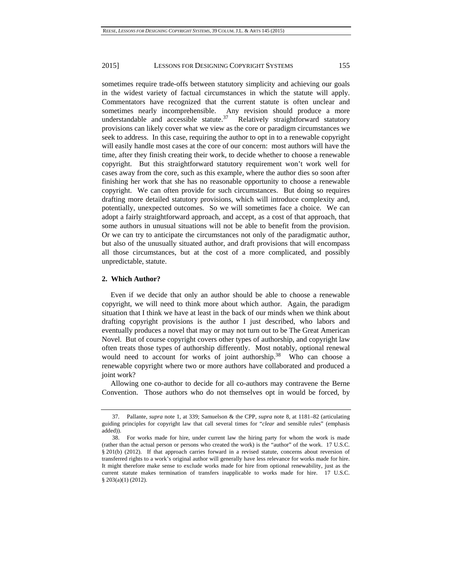sometimes require trade-offs between statutory simplicity and achieving our goals in the widest variety of factual circumstances in which the statute will apply. Commentators have recognized that the current statute is often unclear and sometimes nearly incomprehensible. Any revision should produce a more understandable and accessible statute. $37$  Relatively straightforward statutory provisions can likely cover what we view as the core or paradigm circumstances we seek to address. In this case, requiring the author to opt in to a renewable copyright will easily handle most cases at the core of our concern: most authors will have the time, after they finish creating their work, to decide whether to choose a renewable copyright. But this straightforward statutory requirement won't work well for cases away from the core, such as this example, where the author dies so soon after finishing her work that she has no reasonable opportunity to choose a renewable copyright. We can often provide for such circumstances. But doing so requires drafting more detailed statutory provisions, which will introduce complexity and, potentially, unexpected outcomes. So we will sometimes face a choice. We can adopt a fairly straightforward approach, and accept, as a cost of that approach, that some authors in unusual situations will not be able to benefit from the provision. Or we can try to anticipate the circumstances not only of the paradigmatic author, but also of the unusually situated author, and draft provisions that will encompass all those circumstances, but at the cost of a more complicated, and possibly unpredictable, statute.

# **2. Which Author?**

Even if we decide that only an author should be able to choose a renewable copyright, we will need to think more about which author. Again, the paradigm situation that I think we have at least in the back of our minds when we think about drafting copyright provisions is the author I just described, who labors and eventually produces a novel that may or may not turn out to be The Great American Novel. But of course copyright covers other types of authorship, and copyright law often treats those types of authorship differently. Most notably, optional renewal would need to account for works of joint authorship.<sup>38</sup> Who can choose a renewable copyright where two or more authors have collaborated and produced a joint work?

Allowing one co-author to decide for all co-authors may contravene the Berne Convention. Those authors who do not themselves opt in would be forced, by

 <sup>37.</sup> Pallante, *supra* note 1, at 339; Samuelson & the CPP, *supra* note 8, at 1181–82 (articulating guiding principles for copyright law that call several times for "*clear* and sensible rules" (emphasis added)).

 <sup>38.</sup> For works made for hire, under current law the hiring party for whom the work is made (rather than the actual person or persons who created the work) is the "author" of the work. 17 U.S.C. § 201(b) (2012). If that approach carries forward in a revised statute, concerns about reversion of transferred rights to a work's original author will generally have less relevance for works made for hire. It might therefore make sense to exclude works made for hire from optional renewability, just as the current statute makes termination of transfers inapplicable to works made for hire. 17 U.S.C. § 203(a)(1) (2012).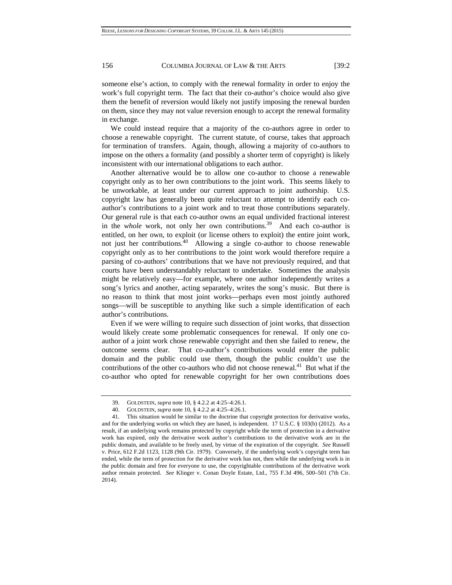someone else's action, to comply with the renewal formality in order to enjoy the work's full copyright term. The fact that their co-author's choice would also give them the benefit of reversion would likely not justify imposing the renewal burden on them, since they may not value reversion enough to accept the renewal formality in exchange.

We could instead require that a majority of the co-authors agree in order to choose a renewable copyright. The current statute, of course, takes that approach for termination of transfers. Again, though, allowing a majority of co-authors to impose on the others a formality (and possibly a shorter term of copyright) is likely inconsistent with our international obligations to each author.

Another alternative would be to allow one co-author to choose a renewable copyright only as to her own contributions to the joint work. This seems likely to be unworkable, at least under our current approach to joint authorship. U.S. copyright law has generally been quite reluctant to attempt to identify each coauthor's contributions to a joint work and to treat those contributions separately. Our general rule is that each co-author owns an equal undivided fractional interest in the *whole* work, not only her own contributions.<sup>39</sup> And each co-author is entitled, on her own, to exploit (or license others to exploit) the entire joint work, not just her contributions.40 Allowing a single co-author to choose renewable copyright only as to her contributions to the joint work would therefore require a parsing of co-authors' contributions that we have not previously required, and that courts have been understandably reluctant to undertake. Sometimes the analysis might be relatively easy—for example, where one author independently writes a song's lyrics and another, acting separately, writes the song's music. But there is no reason to think that most joint works—perhaps even most jointly authored songs—will be susceptible to anything like such a simple identification of each author's contributions.

Even if we were willing to require such dissection of joint works, that dissection would likely create some problematic consequences for renewal. If only one coauthor of a joint work chose renewable copyright and then she failed to renew, the outcome seems clear. That co-author's contributions would enter the public domain and the public could use them, though the public couldn't use the contributions of the other co-authors who did not choose renewal. $^{41}$  But what if the co-author who opted for renewable copyright for her own contributions does

 <sup>39.</sup> GOLDSTEIN, *supra* note 10, § 4.2.2 at 4:25–4:26.1.

 <sup>40.</sup> GOLDSTEIN, *supra* note 10, § 4.2.2 at 4:25–4:26.1.

 <sup>41.</sup> This situation would be similar to the doctrine that copyright protection for derivative works, and for the underlying works on which they are based, is independent. 17 U.S.C. § 103(b) (2012). As a result, if an underlying work remains protected by copyright while the term of protection in a derivative work has expired, only the derivative work author's contributions to the derivative work are in the public domain, and available to be freely used, by virtue of the expiration of the copyright. *See* Russell v. Price, 612 F.2d 1123, 1128 (9th Cir. 1979). Conversely, if the underlying work's copyright term has ended, while the term of protection for the derivative work has not, then while the underlying work is in the public domain and free for everyone to use, the copyrightable contributions of the derivative work author remain protected. *See* Klinger v. Conan Doyle Estate, Ltd., 755 F.3d 496, 500–501 (7th Cir. 2014).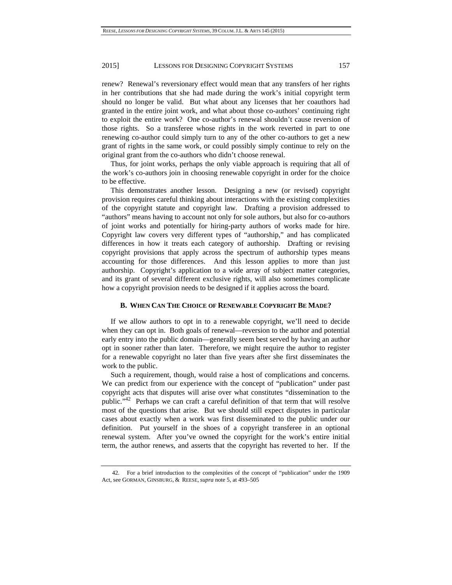renew? Renewal's reversionary effect would mean that any transfers of her rights in her contributions that she had made during the work's initial copyright term should no longer be valid. But what about any licenses that her coauthors had granted in the entire joint work, and what about those co-authors' continuing right to exploit the entire work? One co-author's renewal shouldn't cause reversion of those rights. So a transferee whose rights in the work reverted in part to one renewing co-author could simply turn to any of the other co-authors to get a new grant of rights in the same work, or could possibly simply continue to rely on the original grant from the co-authors who didn't choose renewal.

Thus, for joint works, perhaps the only viable approach is requiring that all of the work's co-authors join in choosing renewable copyright in order for the choice to be effective.

This demonstrates another lesson. Designing a new (or revised) copyright provision requires careful thinking about interactions with the existing complexities of the copyright statute and copyright law. Drafting a provision addressed to "authors" means having to account not only for sole authors, but also for co-authors of joint works and potentially for hiring-party authors of works made for hire. Copyright law covers very different types of "authorship," and has complicated differences in how it treats each category of authorship. Drafting or revising copyright provisions that apply across the spectrum of authorship types means accounting for those differences. And this lesson applies to more than just authorship. Copyright's application to a wide array of subject matter categories, and its grant of several different exclusive rights, will also sometimes complicate how a copyright provision needs to be designed if it applies across the board.

#### **B. WHEN CAN THE CHOICE OF RENEWABLE COPYRIGHT BE MADE?**

If we allow authors to opt in to a renewable copyright, we'll need to decide when they can opt in. Both goals of renewal—reversion to the author and potential early entry into the public domain—generally seem best served by having an author opt in sooner rather than later. Therefore, we might require the author to register for a renewable copyright no later than five years after she first disseminates the work to the public.

Such a requirement, though, would raise a host of complications and concerns. We can predict from our experience with the concept of "publication" under past copyright acts that disputes will arise over what constitutes "dissemination to the public."42 Perhaps we can craft a careful definition of that term that will resolve most of the questions that arise. But we should still expect disputes in particular cases about exactly when a work was first disseminated to the public under our definition. Put yourself in the shoes of a copyright transferee in an optional renewal system. After you've owned the copyright for the work's entire initial term, the author renews, and asserts that the copyright has reverted to her. If the

 <sup>42.</sup> For a brief introduction to the complexities of the concept of "publication" under the 1909 Act, see GORMAN, GINSBURG, & REESE, *supra* note 5, at 493–505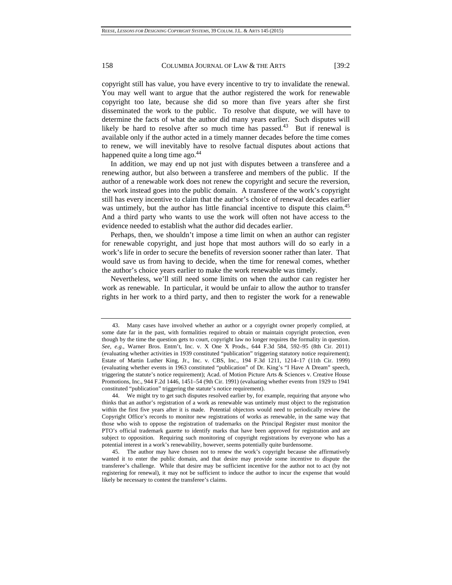copyright still has value, you have every incentive to try to invalidate the renewal. You may well want to argue that the author registered the work for renewable copyright too late, because she did so more than five years after she first disseminated the work to the public. To resolve that dispute, we will have to determine the facts of what the author did many years earlier. Such disputes will likely be hard to resolve after so much time has passed. $43$  But if renewal is available only if the author acted in a timely manner decades before the time comes to renew, we will inevitably have to resolve factual disputes about actions that happened quite a long time ago.<sup>44</sup>

In addition, we may end up not just with disputes between a transferee and a renewing author, but also between a transferee and members of the public. If the author of a renewable work does not renew the copyright and secure the reversion, the work instead goes into the public domain. A transferee of the work's copyright still has every incentive to claim that the author's choice of renewal decades earlier was untimely, but the author has little financial incentive to dispute this claim.<sup>45</sup> And a third party who wants to use the work will often not have access to the evidence needed to establish what the author did decades earlier.

Perhaps, then, we shouldn't impose a time limit on when an author can register for renewable copyright, and just hope that most authors will do so early in a work's life in order to secure the benefits of reversion sooner rather than later. That would save us from having to decide, when the time for renewal comes, whether the author's choice years earlier to make the work renewable was timely.

Nevertheless, we'll still need some limits on when the author can register her work as renewable. In particular, it would be unfair to allow the author to transfer rights in her work to a third party, and then to register the work for a renewable

 <sup>43.</sup> Many cases have involved whether an author or a copyright owner properly complied, at some date far in the past, with formalities required to obtain or maintain copyright protection, even though by the time the question gets to court, copyright law no longer requires the formality in question. *See, e.g.*, Warner Bros. Entm't, Inc. v. X One X Prods., 644 F.3d 584, 592–95 (8th Cir. 2011) (evaluating whether activities in 1939 constituted "publication" triggering statutory notice requirement); Estate of Martin Luther King, Jr., Inc. v. CBS, Inc., 194 F.3d 1211, 1214–17 (11th Cir. 1999) (evaluating whether events in 1963 constituted "publication" of Dr. King's "I Have A Dream" speech, triggering the statute's notice requirement); Acad. of Motion Picture Arts & Sciences v. Creative House Promotions, Inc., 944 F.2d 1446, 1451–54 (9th Cir. 1991) (evaluating whether events from 1929 to 1941 constituted "publication" triggering the statute's notice requirement).

 <sup>44.</sup> We might try to get such disputes resolved earlier by, for example, requiring that anyone who thinks that an author's registration of a work as renewable was untimely must object to the registration within the first five years after it is made. Potential objectors would need to periodically review the Copyright Office's records to monitor new registrations of works as renewable, in the same way that those who wish to oppose the registration of trademarks on the Principal Register must monitor the PTO's official trademark gazette to identify marks that have been approved for registration and are subject to opposition. Requiring such monitoring of copyright registrations by everyone who has a potential interest in a work's renewability, however, seems potentially quite burdensome.

 <sup>45.</sup> The author may have chosen not to renew the work's copyright because she affirmatively wanted it to enter the public domain, and that desire may provide some incentive to dispute the transferee's challenge. While that desire may be sufficient incentive for the author not to act (by not registering for renewal), it may not be sufficient to induce the author to incur the expense that would likely be necessary to contest the transferee's claims.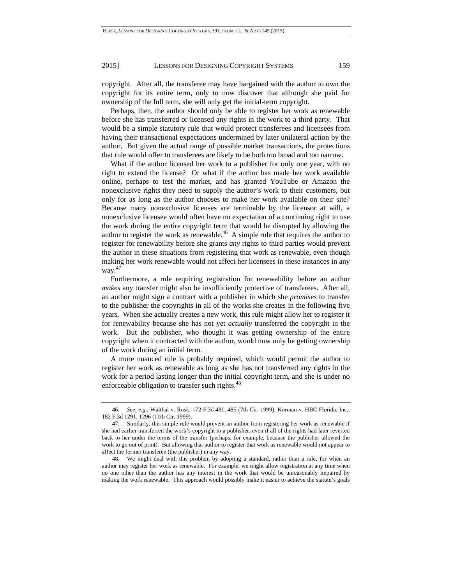copyright. After all, the transferee may have bargained with the author to own the copyright for its entire term, only to now discover that although she paid for ownership of the full term, she will only get the initial-term copyright.

Perhaps, then, the author should only be able to register her work as renewable before she has transferred or licensed any rights in the work to a third party. That would be a simple statutory rule that would protect transferees and licensees from having their transactional expectations undermined by later unilateral action by the author. But given the actual range of possible market transactions, the protections that rule would offer to transferees are likely to be both too broad and too narrow.

What if the author licensed her work to a publisher for only one year, with no right to extend the license? Or what if the author has made her work available online, perhaps to test the market, and has granted YouTube or Amazon the nonexclusive rights they need to supply the author's work to their customers, but only for as long as the author chooses to make her work available on their site? Because many nonexclusive licenses are terminable by the licensor at will, a nonexclusive licensee would often have no expectation of a continuing right to use the work during the entire copyright term that would be disrupted by allowing the author to register the work as renewable. $46$  A simple rule that requires the author to register for renewability before she grants *any* rights to third parties would prevent the author in these situations from registering that work as renewable, even though making her work renewable would not affect her licensees in these instances in any way.47

Furthermore, a rule requiring registration for renewability before an author *makes* any transfer might also be insufficiently protective of transferees. After all, an author might sign a contract with a publisher in which she *promises* to transfer to the publisher the copyrights in all of the works she creates in the following five years. When she actually creates a new work, this rule might allow her to register it for renewability because she has not yet *actually* transferred the copyright in the work. But the publisher, who thought it was getting ownership of the entire copyright when it contracted with the author, would now only be getting ownership of the work during an initial term.

A more nuanced rule is probably required, which would permit the author to register her work as renewable as long as she has not transferred any rights in the work for a period lasting longer than the initial copyright term, and she is under no enforceable obligation to transfer such rights.<sup>48</sup>

<sup>46</sup>*. See, e.g.*, Walthal v. Rusk, 172 F.3d 481, 485 (7th Cir. 1999); Korman v. HBC Florida, Inc., 182 F.3d 1291, 1296 (11th Cir. 1999).

 <sup>47.</sup> Similarly, this simple rule would prevent an author from registering her work as renewable if she had earlier transferred the work's copyright to a publisher, even if all of the rights had later reverted back to her under the terms of the transfer (perhaps, for example, because the publisher allowed the work to go out of print). But allowing that author to register that work as renewable would not appear to affect the former transferee (the publisher) in any way.

 <sup>48.</sup> We might deal with this problem by adopting a standard, rather than a rule, for when an author may register her work as renewable. For example, we might allow registration at any time when no one other than the author has any interest in the work that would be unreasonably impaired by making the work renewable. This approach would possibly make it easier to achieve the statute's goals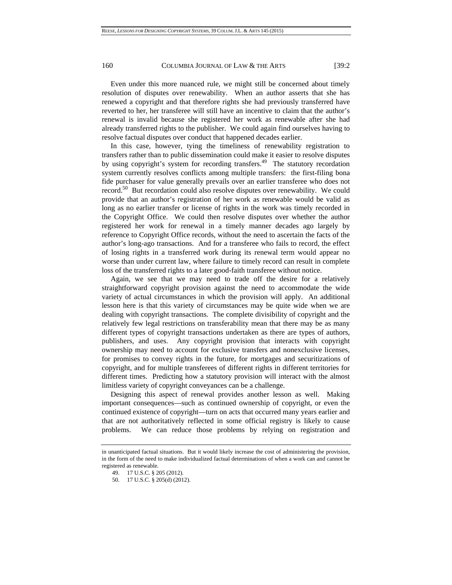Even under this more nuanced rule, we might still be concerned about timely resolution of disputes over renewability. When an author asserts that she has renewed a copyright and that therefore rights she had previously transferred have reverted to her, her transferee will still have an incentive to claim that the author's renewal is invalid because she registered her work as renewable after she had already transferred rights to the publisher. We could again find ourselves having to resolve factual disputes over conduct that happened decades earlier.

In this case, however, tying the timeliness of renewability registration to transfers rather than to public dissemination could make it easier to resolve disputes by using copyright's system for recording transfers.<sup>49</sup> The statutory recordation system currently resolves conflicts among multiple transfers: the first-filing bona fide purchaser for value generally prevails over an earlier transferee who does not record.50 But recordation could also resolve disputes over renewability. We could provide that an author's registration of her work as renewable would be valid as long as no earlier transfer or license of rights in the work was timely recorded in the Copyright Office. We could then resolve disputes over whether the author registered her work for renewal in a timely manner decades ago largely by reference to Copyright Office records, without the need to ascertain the facts of the author's long-ago transactions. And for a transferee who fails to record, the effect of losing rights in a transferred work during its renewal term would appear no worse than under current law, where failure to timely record can result in complete loss of the transferred rights to a later good-faith transferee without notice.

Again, we see that we may need to trade off the desire for a relatively straightforward copyright provision against the need to accommodate the wide variety of actual circumstances in which the provision will apply. An additional lesson here is that this variety of circumstances may be quite wide when we are dealing with copyright transactions. The complete divisibility of copyright and the relatively few legal restrictions on transferability mean that there may be as many different types of copyright transactions undertaken as there are types of authors, publishers, and uses. Any copyright provision that interacts with copyright ownership may need to account for exclusive transfers and nonexclusive licenses, for promises to convey rights in the future, for mortgages and securitizations of copyright, and for multiple transferees of different rights in different territories for different times. Predicting how a statutory provision will interact with the almost limitless variety of copyright conveyances can be a challenge.

Designing this aspect of renewal provides another lesson as well. Making important consequences—such as continued ownership of copyright, or even the continued existence of copyright—turn on acts that occurred many years earlier and that are not authoritatively reflected in some official registry is likely to cause problems. We can reduce those problems by relying on registration and

in unanticipated factual situations. But it would likely increase the cost of administering the provision, in the form of the need to make individualized factual determinations of when a work can and cannot be registered as renewable.

 <sup>49. 17</sup> U.S.C. § 205 (2012).

 <sup>50. 17</sup> U.S.C. § 205(d) (2012).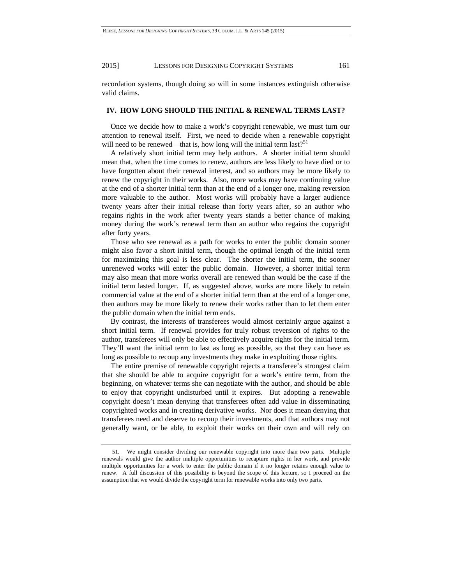recordation systems, though doing so will in some instances extinguish otherwise valid claims.

#### **IV. HOW LONG SHOULD THE INITIAL & RENEWAL TERMS LAST?**

Once we decide how to make a work's copyright renewable, we must turn our attention to renewal itself. First, we need to decide when a renewable copyright will need to be renewed—that is, how long will the initial term last?<sup>51</sup>

A relatively short initial term may help authors. A shorter initial term should mean that, when the time comes to renew, authors are less likely to have died or to have forgotten about their renewal interest, and so authors may be more likely to renew the copyright in their works. Also, more works may have continuing value at the end of a shorter initial term than at the end of a longer one, making reversion more valuable to the author. Most works will probably have a larger audience twenty years after their initial release than forty years after, so an author who regains rights in the work after twenty years stands a better chance of making money during the work's renewal term than an author who regains the copyright after forty years.

Those who see renewal as a path for works to enter the public domain sooner might also favor a short initial term, though the optimal length of the initial term for maximizing this goal is less clear. The shorter the initial term, the sooner unrenewed works will enter the public domain. However, a shorter initial term may also mean that more works overall are renewed than would be the case if the initial term lasted longer. If, as suggested above, works are more likely to retain commercial value at the end of a shorter initial term than at the end of a longer one, then authors may be more likely to renew their works rather than to let them enter the public domain when the initial term ends.

By contrast, the interests of transferees would almost certainly argue against a short initial term. If renewal provides for truly robust reversion of rights to the author, transferees will only be able to effectively acquire rights for the initial term. They'll want the initial term to last as long as possible, so that they can have as long as possible to recoup any investments they make in exploiting those rights.

The entire premise of renewable copyright rejects a transferee's strongest claim that she should be able to acquire copyright for a work's entire term, from the beginning, on whatever terms she can negotiate with the author, and should be able to enjoy that copyright undisturbed until it expires. But adopting a renewable copyright doesn't mean denying that transferees often add value in disseminating copyrighted works and in creating derivative works. Nor does it mean denying that transferees need and deserve to recoup their investments, and that authors may not generally want, or be able, to exploit their works on their own and will rely on

 <sup>51.</sup> We might consider dividing our renewable copyright into more than two parts. Multiple renewals would give the author multiple opportunities to recapture rights in her work, and provide multiple opportunities for a work to enter the public domain if it no longer retains enough value to renew. A full discussion of this possibility is beyond the scope of this lecture, so I proceed on the assumption that we would divide the copyright term for renewable works into only two parts.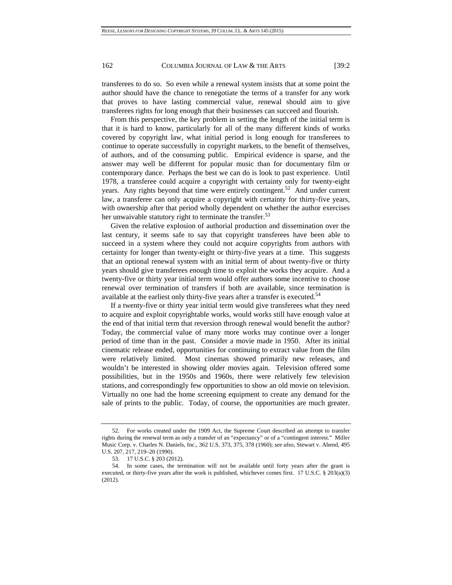transferees to do so. So even while a renewal system insists that at some point the author should have the chance to renegotiate the terms of a transfer for any work that proves to have lasting commercial value, renewal should aim to give transferees rights for long enough that their businesses can succeed and flourish.

From this perspective, the key problem in setting the length of the initial term is that it is hard to know, particularly for all of the many different kinds of works covered by copyright law, what initial period is long enough for transferees to continue to operate successfully in copyright markets, to the benefit of themselves, of authors, and of the consuming public. Empirical evidence is sparse, and the answer may well be different for popular music than for documentary film or contemporary dance. Perhaps the best we can do is look to past experience. Until 1978, a transferee could acquire a copyright with certainty only for twenty-eight years. Any rights beyond that time were entirely contingent.<sup>52</sup> And under current law, a transferee can only acquire a copyright with certainty for thirty-five years, with ownership after that period wholly dependent on whether the author exercises her unwaivable statutory right to terminate the transfer.<sup>53</sup>

Given the relative explosion of authorial production and dissemination over the last century, it seems safe to say that copyright transferees have been able to succeed in a system where they could not acquire copyrights from authors with certainty for longer than twenty-eight or thirty-five years at a time. This suggests that an optional renewal system with an initial term of about twenty-five or thirty years should give transferees enough time to exploit the works they acquire. And a twenty-five or thirty year initial term would offer authors some incentive to choose renewal over termination of transfers if both are available, since termination is available at the earliest only thirty-five years after a transfer is executed.<sup>54</sup>

If a twenty-five or thirty year initial term would give transferees what they need to acquire and exploit copyrightable works, would works still have enough value at the end of that initial term that reversion through renewal would benefit the author? Today, the commercial value of many more works may continue over a longer period of time than in the past. Consider a movie made in 1950. After its initial cinematic release ended, opportunities for continuing to extract value from the film were relatively limited. Most cinemas showed primarily new releases, and wouldn't be interested in showing older movies again. Television offered some possibilities, but in the 1950s and 1960s, there were relatively few television stations, and correspondingly few opportunities to show an old movie on television. Virtually no one had the home screening equipment to create any demand for the sale of prints to the public. Today, of course, the opportunities are much greater.

 <sup>52.</sup> For works created under the 1909 Act, the Supreme Court described an attempt to transfer rights during the renewal term as only a transfer of an "expectancy" or of a "contingent interest." Miller Music Corp. v. Charles N. Daniels, Inc., 362 U.S. 373, 375, 378 (1960); *see also*, Stewart v. Abend, 495 U.S. 207, 217, 219–20 (1990).

 <sup>53. 17</sup> U.S.C. § 203 (2012).

 <sup>54.</sup> In some cases, the termination will not be available until forty years after the grant is executed, or thirty-five years after the work is published, whichever comes first. 17 U.S.C. § 203(a)(3) (2012).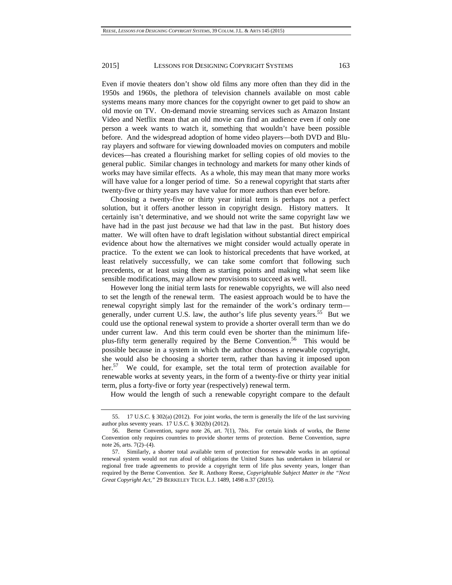Even if movie theaters don't show old films any more often than they did in the 1950s and 1960s, the plethora of television channels available on most cable systems means many more chances for the copyright owner to get paid to show an old movie on TV. On-demand movie streaming services such as Amazon Instant Video and Netflix mean that an old movie can find an audience even if only one person a week wants to watch it, something that wouldn't have been possible before. And the widespread adoption of home video players—both DVD and Bluray players and software for viewing downloaded movies on computers and mobile devices—has created a flourishing market for selling copies of old movies to the general public. Similar changes in technology and markets for many other kinds of works may have similar effects. As a whole, this may mean that many more works will have value for a longer period of time. So a renewal copyright that starts after twenty-five or thirty years may have value for more authors than ever before.

Choosing a twenty-five or thirty year initial term is perhaps not a perfect solution, but it offers another lesson in copyright design. History matters. It certainly isn't determinative, and we should not write the same copyright law we have had in the past just *because* we had that law in the past. But history does matter. We will often have to draft legislation without substantial direct empirical evidence about how the alternatives we might consider would actually operate in practice. To the extent we can look to historical precedents that have worked, at least relatively successfully, we can take some comfort that following such precedents, or at least using them as starting points and making what seem like sensible modifications, may allow new provisions to succeed as well.

However long the initial term lasts for renewable copyrights, we will also need to set the length of the renewal term. The easiest approach would be to have the renewal copyright simply last for the remainder of the work's ordinary term generally, under current U.S. law, the author's life plus seventy years.<sup>55</sup> But we could use the optional renewal system to provide a shorter overall term than we do under current law. And this term could even be shorter than the minimum lifeplus-fifty term generally required by the Berne Convention.<sup>56</sup> This would be possible because in a system in which the author chooses a renewable copyright, she would also be choosing a shorter term, rather than having it imposed upon her.<sup>57</sup> We could, for example, set the total term of protection available for renewable works at seventy years, in the form of a twenty-five or thirty year initial term, plus a forty-five or forty year (respectively) renewal term.

How would the length of such a renewable copyright compare to the default

 <sup>55. 17</sup> U.S.C. § 302(a) (2012). For joint works, the term is generally the life of the last surviving author plus seventy years. 17 U.S.C. § 302(b) (2012).

 <sup>56.</sup> Berne Convention, *supra* note 26, art. 7(1), 7*bis*. For certain kinds of works, the Berne Convention only requires countries to provide shorter terms of protection. Berne Convention, *supra* note 26, arts. 7(2)–(4).

 <sup>57.</sup> Similarly, a shorter total available term of protection for renewable works in an optional renewal system would not run afoul of obligations the United States has undertaken in bilateral or regional free trade agreements to provide a copyright term of life plus seventy years, longer than required by the Berne Convention. *See* R. Anthony Reese, *Copyrightable Subject Matter in the "Next Great Copyright Act,"* 29 BERKELEY TECH. L.J. 1489, 1498 n.37 (2015).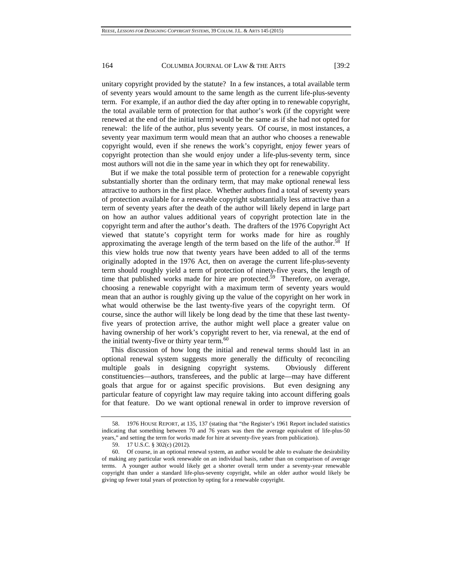unitary copyright provided by the statute? In a few instances, a total available term of seventy years would amount to the same length as the current life-plus-seventy term. For example, if an author died the day after opting in to renewable copyright, the total available term of protection for that author's work (if the copyright were renewed at the end of the initial term) would be the same as if she had not opted for renewal: the life of the author, plus seventy years. Of course, in most instances, a seventy year maximum term would mean that an author who chooses a renewable copyright would, even if she renews the work's copyright, enjoy fewer years of copyright protection than she would enjoy under a life-plus-seventy term, since most authors will not die in the same year in which they opt for renewability.

But if we make the total possible term of protection for a renewable copyright substantially shorter than the ordinary term, that may make optional renewal less attractive to authors in the first place. Whether authors find a total of seventy years of protection available for a renewable copyright substantially less attractive than a term of seventy years after the death of the author will likely depend in large part on how an author values additional years of copyright protection late in the copyright term and after the author's death. The drafters of the 1976 Copyright Act viewed that statute's copyright term for works made for hire as roughly approximating the average length of the term based on the life of the author.<sup>58</sup> If this view holds true now that twenty years have been added to all of the terms originally adopted in the 1976 Act, then on average the current life-plus-seventy term should roughly yield a term of protection of ninety-five years, the length of time that published works made for hire are protected.<sup>59</sup> Therefore, on average, choosing a renewable copyright with a maximum term of seventy years would mean that an author is roughly giving up the value of the copyright on her work in what would otherwise be the last twenty-five years of the copyright term. Of course, since the author will likely be long dead by the time that these last twentyfive years of protection arrive, the author might well place a greater value on having ownership of her work's copyright revert to her, via renewal, at the end of the initial twenty-five or thirty year term. $60$ 

This discussion of how long the initial and renewal terms should last in an optional renewal system suggests more generally the difficulty of reconciling multiple goals in designing copyright systems. Obviously different constituencies—authors, transferees, and the public at large—may have different goals that argue for or against specific provisions. But even designing any particular feature of copyright law may require taking into account differing goals for that feature. Do we want optional renewal in order to improve reversion of

 <sup>58. 1976</sup> HOUSE REPORT, at 135, 137 (stating that "the Register's 1961 Report included statistics indicating that something between 70 and 76 years was then the average equivalent of life-plus-50 years," and setting the term for works made for hire at seventy-five years from publication).

 <sup>59. 17</sup> U.S.C. § 302(c) (2012).

 <sup>60.</sup> Of course, in an optional renewal system, an author would be able to evaluate the desirability of making any particular work renewable on an individual basis, rather than on comparison of average terms. A younger author would likely get a shorter overall term under a seventy-year renewable copyright than under a standard life-plus-seventy copyright, while an older author would likely be giving up fewer total years of protection by opting for a renewable copyright.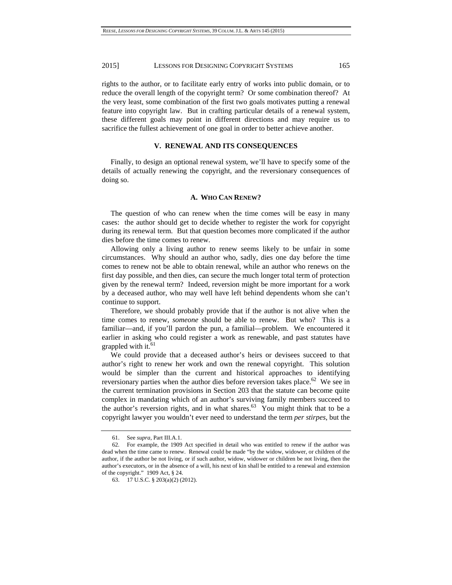rights to the author, or to facilitate early entry of works into public domain, or to reduce the overall length of the copyright term? Or some combination thereof? At the very least, some combination of the first two goals motivates putting a renewal feature into copyright law. But in crafting particular details of a renewal system, these different goals may point in different directions and may require us to sacrifice the fullest achievement of one goal in order to better achieve another.

## **V. RENEWAL AND ITS CONSEQUENCES**

Finally, to design an optional renewal system, we'll have to specify some of the details of actually renewing the copyright, and the reversionary consequences of doing so.

# **A. WHO CAN RENEW?**

The question of who can renew when the time comes will be easy in many cases: the author should get to decide whether to register the work for copyright during its renewal term. But that question becomes more complicated if the author dies before the time comes to renew.

Allowing only a living author to renew seems likely to be unfair in some circumstances. Why should an author who, sadly, dies one day before the time comes to renew not be able to obtain renewal, while an author who renews on the first day possible, and then dies, can secure the much longer total term of protection given by the renewal term? Indeed, reversion might be more important for a work by a deceased author, who may well have left behind dependents whom she can't continue to support.

Therefore, we should probably provide that if the author is not alive when the time comes to renew, *someone* should be able to renew. But who? This is a familiar—and, if you'll pardon the pun, a familial—problem. We encountered it earlier in asking who could register a work as renewable, and past statutes have grappled with it.<sup>61</sup>

We could provide that a deceased author's heirs or devisees succeed to that author's right to renew her work and own the renewal copyright. This solution would be simpler than the current and historical approaches to identifying reversionary parties when the author dies before reversion takes place.<sup>62</sup> We see in the current termination provisions in Section 203 that the statute can become quite complex in mandating which of an author's surviving family members succeed to the author's reversion rights, and in what shares. $63$  You might think that to be a copyright lawyer you wouldn't ever need to understand the term *per stirpes*, but the

 <sup>61.</sup> See *supra*, Part III.A.1.

 <sup>62.</sup> For example, the 1909 Act specified in detail who was entitled to renew if the author was dead when the time came to renew. Renewal could be made "by the widow, widower, or children of the author, if the author be not living, or if such author, widow, widower or children be not living, then the author's executors, or in the absence of a will, his next of kin shall be entitled to a renewal and extension of the copyright." 1909 Act, § 24.

 <sup>63. 17</sup> U.S.C. § 203(a)(2) (2012).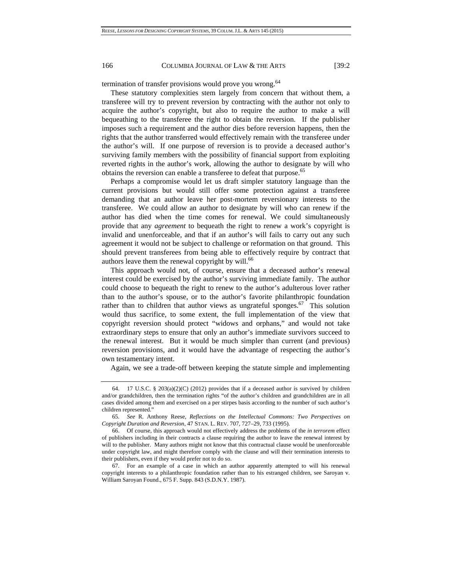termination of transfer provisions would prove you wrong.<sup>64</sup>

These statutory complexities stem largely from concern that without them, a transferee will try to prevent reversion by contracting with the author not only to acquire the author's copyright, but also to require the author to make a will bequeathing to the transferee the right to obtain the reversion. If the publisher imposes such a requirement and the author dies before reversion happens, then the rights that the author transferred would effectively remain with the transferee under the author's will. If one purpose of reversion is to provide a deceased author's surviving family members with the possibility of financial support from exploiting reverted rights in the author's work, allowing the author to designate by will who obtains the reversion can enable a transferee to defeat that purpose.<sup>65</sup>

Perhaps a compromise would let us draft simpler statutory language than the current provisions but would still offer some protection against a transferee demanding that an author leave her post-mortem reversionary interests to the transferee. We could allow an author to designate by will who can renew if the author has died when the time comes for renewal. We could simultaneously provide that any *agreement* to bequeath the right to renew a work's copyright is invalid and unenforceable, and that if an author's will fails to carry out any such agreement it would not be subject to challenge or reformation on that ground. This should prevent transferees from being able to effectively require by contract that authors leave them the renewal copyright by will.<sup>66</sup>

This approach would not, of course, ensure that a deceased author's renewal interest could be exercised by the author's surviving immediate family. The author could choose to bequeath the right to renew to the author's adulterous lover rather than to the author's spouse, or to the author's favorite philanthropic foundation rather than to children that author views as ungrateful sponges. $67$  This solution would thus sacrifice, to some extent, the full implementation of the view that copyright reversion should protect "widows and orphans," and would not take extraordinary steps to ensure that only an author's immediate survivors succeed to the renewal interest. But it would be much simpler than current (and previous) reversion provisions, and it would have the advantage of respecting the author's own testamentary intent.

Again, we see a trade-off between keeping the statute simple and implementing

<sup>64. 17</sup> U.S.C. § 203(a)(2)(C) (2012) provides that if a deceased author is survived by children and/or grandchildren, then the termination rights "of the author's children and grandchildren are in all cases divided among them and exercised on a per stirpes basis according to the number of such author's children represented."

<sup>65</sup>*. See* R. Anthony Reese, *Reflections on the Intellectual Commons: Two Perspectives on Copyright Duration and Reversion*, 47 STAN. L. REV. 707, 727–29, 733 (1995).

 <sup>66.</sup> Of course, this approach would not effectively address the problems of the *in terrorem* effect of publishers including in their contracts a clause requiring the author to leave the renewal interest by will to the publisher. Many authors might not know that this contractual clause would be unenforceable under copyright law, and might therefore comply with the clause and will their termination interests to their publishers, even if they would prefer not to do so.

 <sup>67.</sup> For an example of a case in which an author apparently attempted to will his renewal copyright interests to a philanthropic foundation rather than to his estranged children, see Saroyan v. William Saroyan Found., 675 F. Supp. 843 (S.D.N.Y. 1987).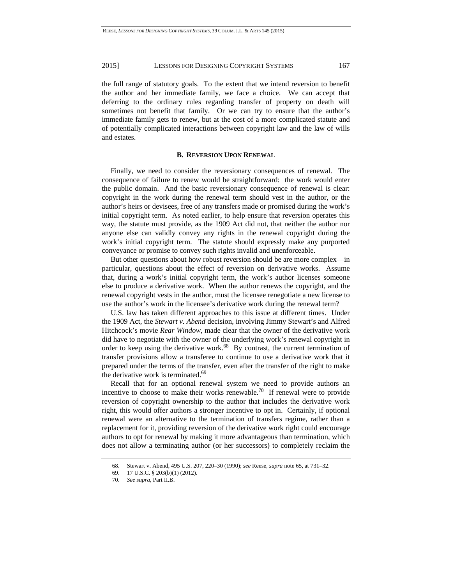the full range of statutory goals. To the extent that we intend reversion to benefit the author and her immediate family, we face a choice. We can accept that deferring to the ordinary rules regarding transfer of property on death will sometimes not benefit that family. Or we can try to ensure that the author's immediate family gets to renew, but at the cost of a more complicated statute and of potentially complicated interactions between copyright law and the law of wills and estates.

## **B. REVERSION UPON RENEWAL**

Finally, we need to consider the reversionary consequences of renewal. The consequence of failure to renew would be straightforward: the work would enter the public domain. And the basic reversionary consequence of renewal is clear: copyright in the work during the renewal term should vest in the author, or the author's heirs or devisees, free of any transfers made or promised during the work's initial copyright term. As noted earlier, to help ensure that reversion operates this way, the statute must provide, as the 1909 Act did not, that neither the author nor anyone else can validly convey any rights in the renewal copyright during the work's initial copyright term. The statute should expressly make any purported conveyance or promise to convey such rights invalid and unenforceable.

But other questions about how robust reversion should be are more complex—in particular, questions about the effect of reversion on derivative works. Assume that, during a work's initial copyright term, the work's author licenses someone else to produce a derivative work. When the author renews the copyright, and the renewal copyright vests in the author, must the licensee renegotiate a new license to use the author's work in the licensee's derivative work during the renewal term?

U.S. law has taken different approaches to this issue at different times. Under the 1909 Act, the *Stewart v. Abend* decision, involving Jimmy Stewart's and Alfred Hitchcock's movie *Rear Window*, made clear that the owner of the derivative work did have to negotiate with the owner of the underlying work's renewal copyright in order to keep using the derivative work.<sup>68</sup> By contrast, the current termination of transfer provisions allow a transferee to continue to use a derivative work that it prepared under the terms of the transfer, even after the transfer of the right to make the derivative work is terminated.<sup>69</sup>

Recall that for an optional renewal system we need to provide authors an incentive to choose to make their works renewable.<sup>70</sup> If renewal were to provide reversion of copyright ownership to the author that includes the derivative work right, this would offer authors a stronger incentive to opt in. Certainly, if optional renewal were an alternative to the termination of transfers regime, rather than a replacement for it, providing reversion of the derivative work right could encourage authors to opt for renewal by making it more advantageous than termination, which does not allow a terminating author (or her successors) to completely reclaim the

 <sup>68.</sup> Stewart v. Abend, 495 U.S. 207, 220–30 (1990); *see* Reese, *supra* note 65, at 731–32.

 <sup>69. 17</sup> U.S.C. § 203(b)(1) (2012).

 <sup>70.</sup> *See supra*, Part II.B.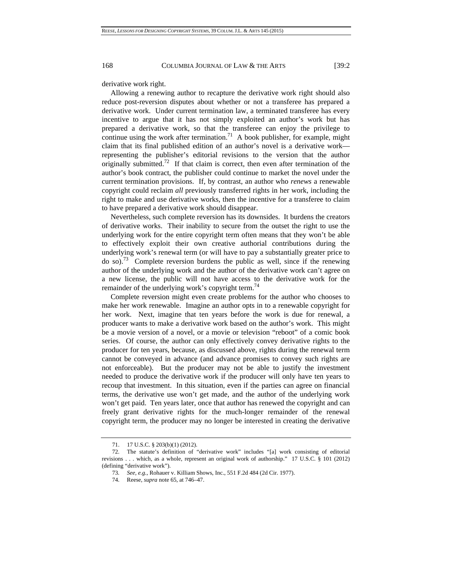derivative work right.

Allowing a renewing author to recapture the derivative work right should also reduce post-reversion disputes about whether or not a transferee has prepared a derivative work. Under current termination law, a terminated transferee has every incentive to argue that it has not simply exploited an author's work but has prepared a derivative work, so that the transferee can enjoy the privilege to continue using the work after termination.<sup>71</sup> A book publisher, for example, might claim that its final published edition of an author's novel is a derivative work representing the publisher's editorial revisions to the version that the author originally submitted.<sup>72</sup> If that claim is correct, then even after termination of the author's book contract, the publisher could continue to market the novel under the current termination provisions. If, by contrast, an author who *renews* a renewable copyright could reclaim *all* previously transferred rights in her work, including the right to make and use derivative works, then the incentive for a transferee to claim to have prepared a derivative work should disappear.

Nevertheless, such complete reversion has its downsides. It burdens the creators of derivative works. Their inability to secure from the outset the right to use the underlying work for the entire copyright term often means that they won't be able to effectively exploit their own creative authorial contributions during the underlying work's renewal term (or will have to pay a substantially greater price to do so).<sup>73</sup> Complete reversion burdens the public as well, since if the renewing author of the underlying work and the author of the derivative work can't agree on a new license, the public will not have access to the derivative work for the remainder of the underlying work's copyright term.<sup>74</sup>

Complete reversion might even create problems for the author who chooses to make her work renewable. Imagine an author opts in to a renewable copyright for her work. Next, imagine that ten years before the work is due for renewal, a producer wants to make a derivative work based on the author's work. This might be a movie version of a novel, or a movie or television "reboot" of a comic book series. Of course, the author can only effectively convey derivative rights to the producer for ten years, because, as discussed above, rights during the renewal term cannot be conveyed in advance (and advance promises to convey such rights are not enforceable). But the producer may not be able to justify the investment needed to produce the derivative work if the producer will only have ten years to recoup that investment. In this situation, even if the parties can agree on financial terms, the derivative use won't get made, and the author of the underlying work won't get paid. Ten years later, once that author has renewed the copyright and can freely grant derivative rights for the much-longer remainder of the renewal copyright term, the producer may no longer be interested in creating the derivative

 <sup>71. 17</sup> U.S.C. § 203(b)(1) (2012).

 <sup>72.</sup> The statute's definition of "derivative work" includes "[a] work consisting of editorial revisions . . . which, as a whole, represent an original work of authorship." 17 U.S.C. § 101 (2012) (defining "derivative work").

<sup>73</sup>*. See, e.g.*, Rohauer v. Killiam Shows, Inc., 551 F.2d 484 (2d Cir. 1977).

 <sup>74.</sup> Reese, *supra* note 65, at 746–47.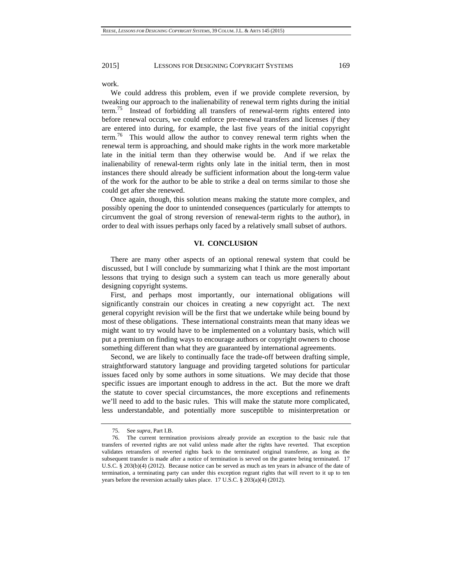work.

We could address this problem, even if we provide complete reversion, by tweaking our approach to the inalienability of renewal term rights during the initial term.75 Instead of forbidding all transfers of renewal-term rights entered into before renewal occurs, we could enforce pre-renewal transfers and licenses *if* they are entered into during, for example, the last five years of the initial copyright term.<sup>76</sup> This would allow the author to convey renewal term rights when the renewal term is approaching, and should make rights in the work more marketable late in the initial term than they otherwise would be. And if we relax the inalienability of renewal-term rights only late in the initial term, then in most instances there should already be sufficient information about the long-term value of the work for the author to be able to strike a deal on terms similar to those she could get after she renewed.

Once again, though, this solution means making the statute more complex, and possibly opening the door to unintended consequences (particularly for attempts to circumvent the goal of strong reversion of renewal-term rights to the author), in order to deal with issues perhaps only faced by a relatively small subset of authors.

#### **VI. CONCLUSION**

There are many other aspects of an optional renewal system that could be discussed, but I will conclude by summarizing what I think are the most important lessons that trying to design such a system can teach us more generally about designing copyright systems.

First, and perhaps most importantly, our international obligations will significantly constrain our choices in creating a new copyright act. The next general copyright revision will be the first that we undertake while being bound by most of these obligations. These international constraints mean that many ideas we might want to try would have to be implemented on a voluntary basis, which will put a premium on finding ways to encourage authors or copyright owners to choose something different than what they are guaranteed by international agreements.

Second, we are likely to continually face the trade-off between drafting simple, straightforward statutory language and providing targeted solutions for particular issues faced only by some authors in some situations. We may decide that those specific issues are important enough to address in the act. But the more we draft the statute to cover special circumstances, the more exceptions and refinements we'll need to add to the basic rules. This will make the statute more complicated, less understandable, and potentially more susceptible to misinterpretation or

 <sup>75.</sup> See *supra*, Part I.B.

 <sup>76.</sup> The current termination provisions already provide an exception to the basic rule that transfers of reverted rights are not valid unless made after the rights have reverted. That exception validates retransfers of reverted rights back to the terminated original transferee, as long as the subsequent transfer is made after a notice of termination is served on the grantee being terminated. 17 U.S.C. § 203(b)(4) (2012). Because notice can be served as much as ten years in advance of the date of termination, a terminating party can under this exception regrant rights that will revert to it up to ten years before the reversion actually takes place. 17 U.S.C. § 203(a)(4) (2012).